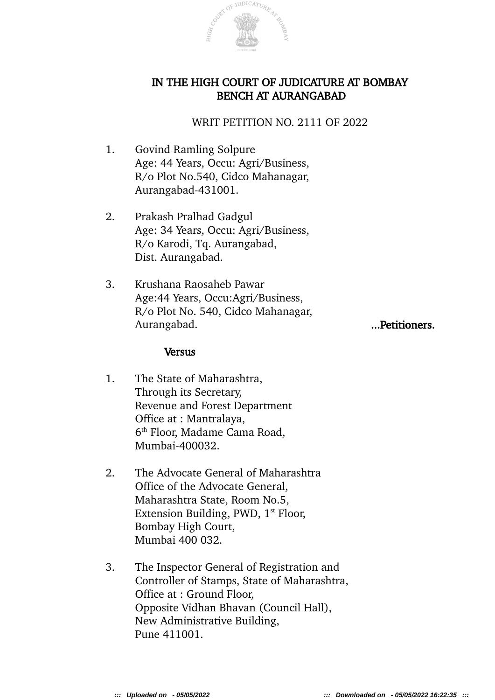

# IN THE HIGH COURT OF JUDICATURE AT BOMBAY BENCH AT AURANGABAD

## WRIT PETITION NO. 2111 OF 2022

- 1. Govind Ramling Solpure Age: 44 Years, Occu: Agri/Business, R/o Plot No.540, Cidco Mahanagar, Aurangabad-431001.
- 2. Prakash Pralhad Gadgul Age: 34 Years, Occu: Agri/Business, R/o Karodi, Tq. Aurangabad, Dist. Aurangabad.
- 3. Krushana Raosaheb Pawar Age:44 Years, Occu:Agri/Business, R/o Plot No. 540, Cidco Mahanagar, Aurangabad. ...Petitioners.

### **Versus**

- 1. The State of Maharashtra, Through its Secretary, Revenue and Forest Department Office at : Mantralaya, 6 th Floor, Madame Cama Road, Mumbai-400032.
- 2. The Advocate General of Maharashtra Office of the Advocate General, Maharashtra State, Room No.5, Extension Building, PWD,  $1<sup>st</sup>$  Floor, Bombay High Court, Mumbai 400 032.
- 3. The Inspector General of Registration and Controller of Stamps, State of Maharashtra, Office at : Ground Floor, Opposite Vidhan Bhavan (Council Hall), New Administrative Building, Pune 411001.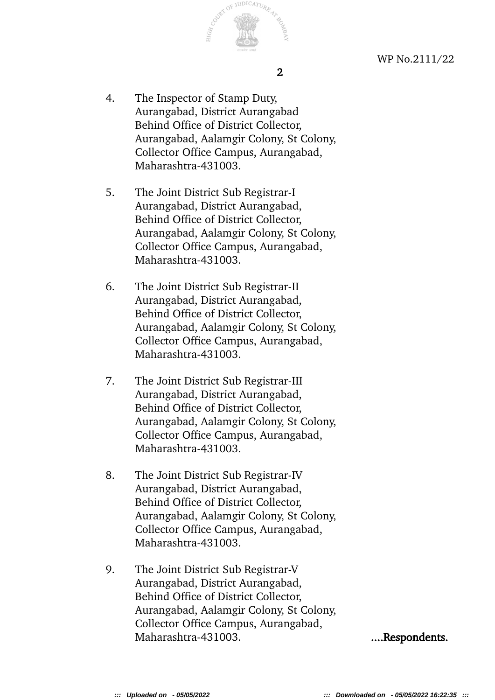

WP No.2111/22

- 4. The Inspector of Stamp Duty, Aurangabad, District Aurangabad Behind Office of District Collector, Aurangabad, Aalamgir Colony, St Colony, Collector Office Campus, Aurangabad, Maharashtra-431003.
- 5. The Joint District Sub Registrar-I Aurangabad, District Aurangabad, Behind Office of District Collector, Aurangabad, Aalamgir Colony, St Colony, Collector Office Campus, Aurangabad, Maharashtra-431003.
- 6. The Joint District Sub Registrar-II Aurangabad, District Aurangabad, Behind Office of District Collector, Aurangabad, Aalamgir Colony, St Colony, Collector Office Campus, Aurangabad, Maharashtra-431003.
- 7. The Joint District Sub Registrar-III Aurangabad, District Aurangabad, Behind Office of District Collector, Aurangabad, Aalamgir Colony, St Colony, Collector Office Campus, Aurangabad, Maharashtra-431003.
- 8. The Joint District Sub Registrar-IV Aurangabad, District Aurangabad, Behind Office of District Collector, Aurangabad, Aalamgir Colony, St Colony, Collector Office Campus, Aurangabad, Maharashtra-431003.
- 9. The Joint District Sub Registrar-V Aurangabad, District Aurangabad, Behind Office of District Collector, Aurangabad, Aalamgir Colony, St Colony, Collector Office Campus, Aurangabad, Maharashtra-431003. ....Respondents.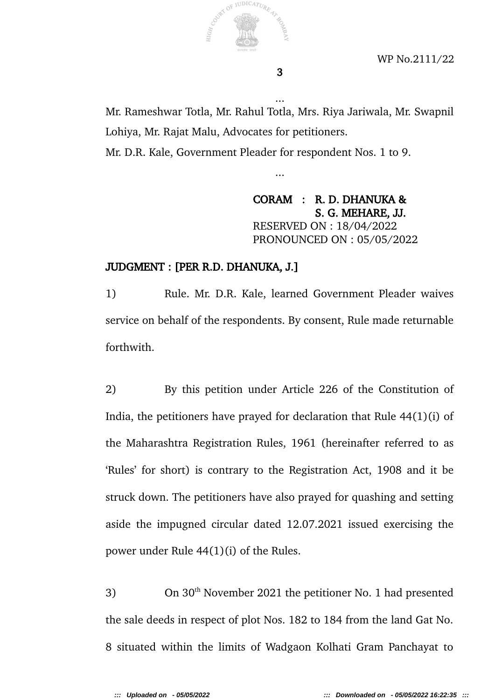

WP No.2111/22

Mr. Rameshwar Totla, Mr. Rahul Totla, Mrs. Riya Jariwala, Mr. Swapnil Lohiya, Mr. Rajat Malu, Advocates for petitioners. Mr. D.R. Kale, Government Pleader for respondent Nos. 1 to 9.

...

...

CORAM : R. D. DHANUKA & S. G. MEHARE, JJ. RESERVED ON : 18/04/2022 PRONOUNCED ON : 05/05/2022

## JUDGMENT : [PER R.D. DHANUKA, J.]

1) Rule. Mr. D.R. Kale, learned Government Pleader waives service on behalf of the respondents. By consent, Rule made returnable forthwith.

2) By this petition under Article 226 of the Constitution of India, the petitioners have prayed for declaration that Rule 44(1)(i) of the Maharashtra Registration Rules, 1961 (hereinafter referred to as 'Rules' for short) is contrary to the Registration Act, 1908 and it be struck down. The petitioners have also prayed for quashing and setting aside the impugned circular dated 12.07.2021 issued exercising the power under Rule 44(1)(i) of the Rules.

3) On  $30<sup>th</sup>$  November 2021 the petitioner No. 1 had presented the sale deeds in respect of plot Nos. 182 to 184 from the land Gat No. 8 situated within the limits of Wadgaon Kolhati Gram Panchayat to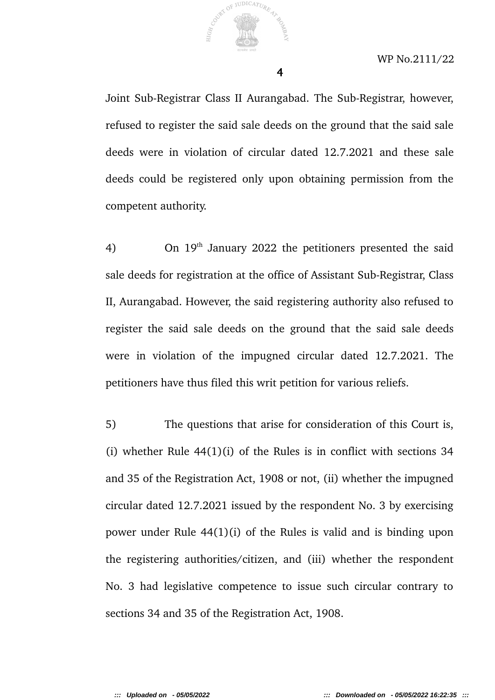

4

Joint Sub-Registrar Class II Aurangabad. The Sub-Registrar, however, refused to register the said sale deeds on the ground that the said sale deeds were in violation of circular dated 12.7.2021 and these sale deeds could be registered only upon obtaining permission from the competent authority.

4) On  $19<sup>th</sup>$  January 2022 the petitioners presented the said sale deeds for registration at the office of Assistant Sub-Registrar, Class II, Aurangabad. However, the said registering authority also refused to register the said sale deeds on the ground that the said sale deeds were in violation of the impugned circular dated 12.7.2021. The petitioners have thus filed this writ petition for various reliefs.

5) The questions that arise for consideration of this Court is, (i) whether Rule 44(1)(i) of the Rules is in conflict with sections 34 and 35 of the Registration Act, 1908 or not, (ii) whether the impugned circular dated 12.7.2021 issued by the respondent No. 3 by exercising power under Rule 44(1)(i) of the Rules is valid and is binding upon the registering authorities/citizen, and (iii) whether the respondent No. 3 had legislative competence to issue such circular contrary to sections 34 and 35 of the Registration Act, 1908.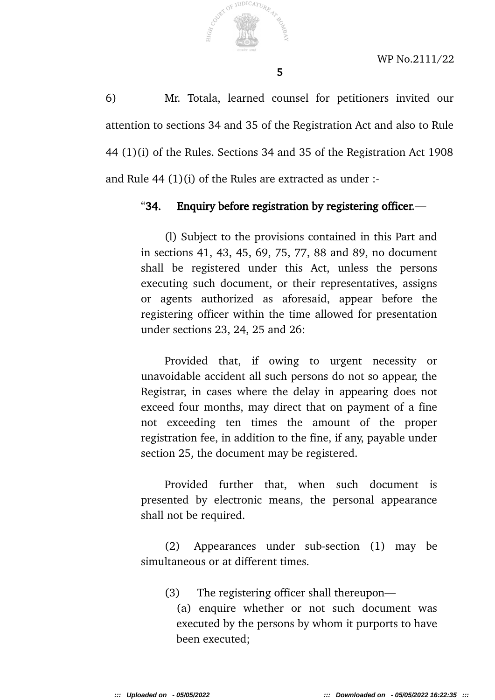

6) Mr. Totala, learned counsel for petitioners invited our attention to sections 34 and 35 of the Registration Act and also to Rule 44 (1)(i) of the Rules. Sections 34 and 35 of the Registration Act 1908 and Rule 44 (1)(i) of the Rules are extracted as under :-

#### "34. Enquiry before registration by registering officer.—

(l) Subject to the provisions contained in this Part and in sections 41, 43, 45, 69, 75, 77, 88 and 89, no document shall be registered under this Act, unless the persons executing such document, or their representatives, assigns or agents authorized as aforesaid, appear before the registering officer within the time allowed for presentation under sections 23, 24, 25 and 26:

Provided that, if owing to urgent necessity or unavoidable accident all such persons do not so appear, the Registrar, in cases where the delay in appearing does not exceed four months, may direct that on payment of a fine not exceeding ten times the amount of the proper registration fee, in addition to the fine, if any, payable under section 25, the document may be registered.

Provided further that, when such document is presented by electronic means, the personal appearance shall not be required.

(2) Appearances under sub-section (1) may be simultaneous or at different times.

(3) The registering officer shall thereupon—

(a) enquire whether or not such document was executed by the persons by whom it purports to have been executed;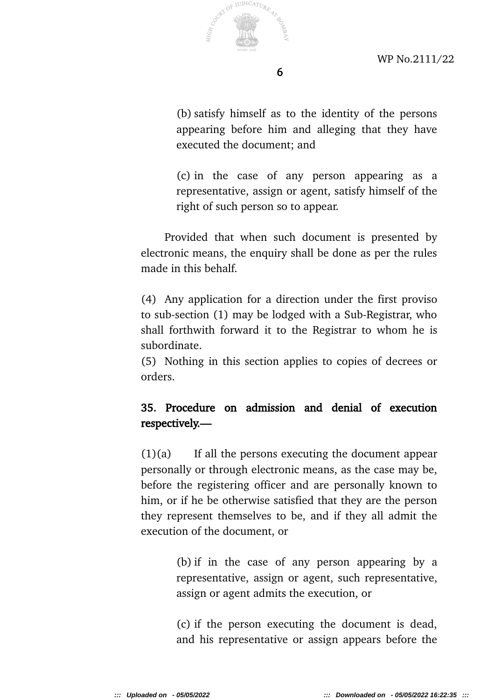

(b) satisfy himself as to the identity of the persons appearing before him and alleging that they have executed the document; and

(c) in the case of any person appearing as a representative, assign or agent, satisfy himself of the right of such person so to appear.

Provided that when such document is presented by electronic means, the enquiry shall be done as per the rules made in this behalf.

(4) Any application for a direction under the first proviso to sub-section (1) may be lodged with a Sub-Registrar, who shall forthwith forward it to the Registrar to whom he is subordinate.

(5) Nothing in this section applies to copies of decrees or orders.

# 35. Procedure on admission and denial of execution respectively.—

 $(1)(a)$  If all the persons executing the document appear personally or through electronic means, as the case may be, before the registering officer and are personally known to him, or if he be otherwise satisfied that they are the person they represent themselves to be, and if they all admit the execution of the document, or

> (b) if in the case of any person appearing by a representative, assign or agent, such representative, assign or agent admits the execution, or

> (c) if the person executing the document is dead, and his representative or assign appears before the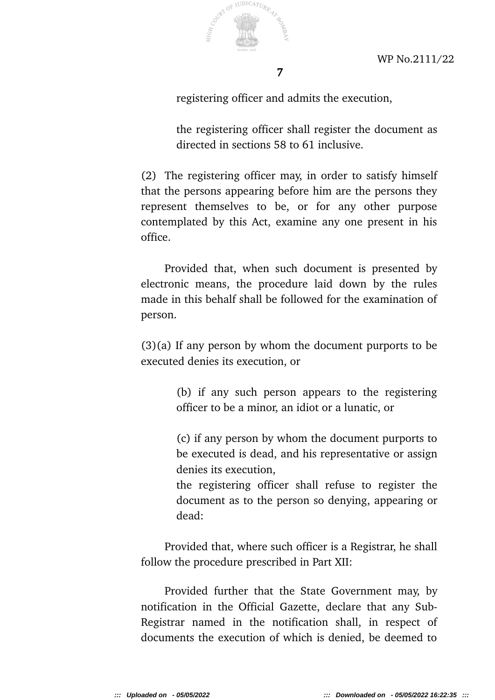

7

registering officer and admits the execution,

the registering officer shall register the document as directed in sections 58 to 61 inclusive.

(2) The registering officer may, in order to satisfy himself that the persons appearing before him are the persons they represent themselves to be, or for any other purpose contemplated by this Act, examine any one present in his office.

Provided that, when such document is presented by electronic means, the procedure laid down by the rules made in this behalf shall be followed for the examination of person.

(3)(a) If any person by whom the document purports to be executed denies its execution, or

> (b) if any such person appears to the registering officer to be a minor, an idiot or a lunatic, or

> (c) if any person by whom the document purports to be executed is dead, and his representative or assign denies its execution,

> the registering officer shall refuse to register the document as to the person so denying, appearing or dead:

Provided that, where such officer is a Registrar, he shall follow the procedure prescribed in Part XII:

Provided further that the State Government may, by notification in the Official Gazette, declare that any Sub-Registrar named in the notification shall, in respect of documents the execution of which is denied, be deemed to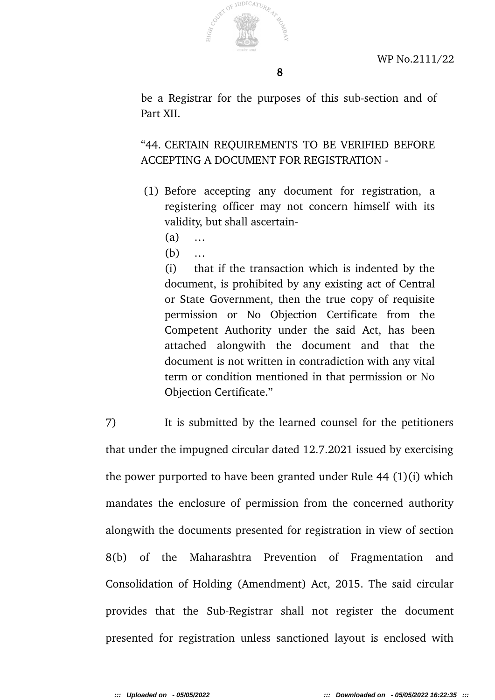

be a Registrar for the purposes of this sub-section and of Part XII.

"44. CERTAIN REQUIREMENTS TO BE VERIFIED BEFORE ACCEPTING A DOCUMENT FOR REGISTRATION -

- (1) Before accepting any document for registration, a registering officer may not concern himself with its validity, but shall ascertain-
	- (a) …
	- (b) …

(i) that if the transaction which is indented by the document, is prohibited by any existing act of Central or State Government, then the true copy of requisite permission or No Objection Certificate from the Competent Authority under the said Act, has been attached alongwith the document and that the document is not written in contradiction with any vital term or condition mentioned in that permission or No Objection Certificate."

7) It is submitted by the learned counsel for the petitioners that under the impugned circular dated 12.7.2021 issued by exercising the power purported to have been granted under Rule 44 (1)(i) which mandates the enclosure of permission from the concerned authority alongwith the documents presented for registration in view of section 8(b) of the Maharashtra Prevention of Fragmentation and Consolidation of Holding (Amendment) Act, 2015. The said circular provides that the Sub-Registrar shall not register the document presented for registration unless sanctioned layout is enclosed with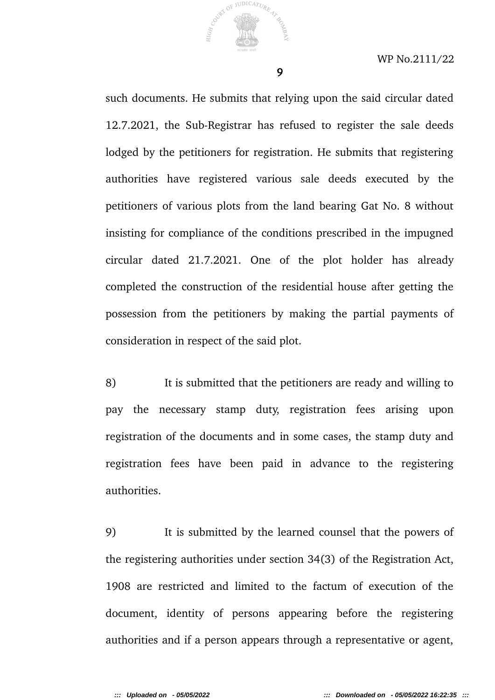

9

such documents. He submits that relying upon the said circular dated 12.7.2021, the Sub-Registrar has refused to register the sale deeds lodged by the petitioners for registration. He submits that registering authorities have registered various sale deeds executed by the petitioners of various plots from the land bearing Gat No. 8 without insisting for compliance of the conditions prescribed in the impugned circular dated 21.7.2021. One of the plot holder has already completed the construction of the residential house after getting the possession from the petitioners by making the partial payments of consideration in respect of the said plot.

8) It is submitted that the petitioners are ready and willing to pay the necessary stamp duty, registration fees arising upon registration of the documents and in some cases, the stamp duty and registration fees have been paid in advance to the registering authorities.

9) It is submitted by the learned counsel that the powers of the registering authorities under section 34(3) of the Registration Act, 1908 are restricted and limited to the factum of execution of the document, identity of persons appearing before the registering authorities and if a person appears through a representative or agent,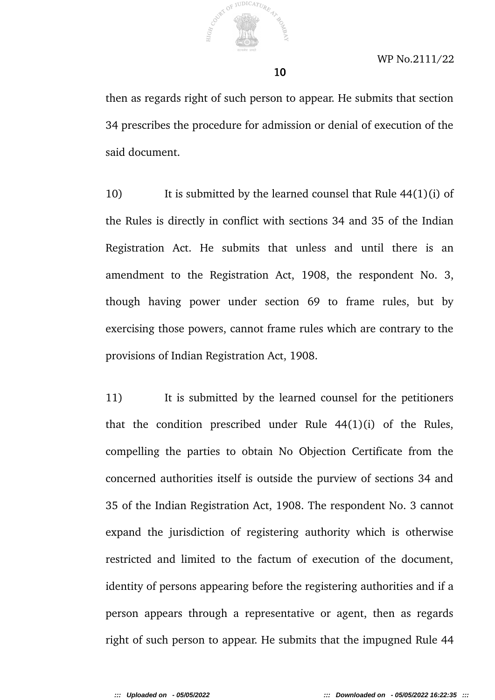

then as regards right of such person to appear. He submits that section 34 prescribes the procedure for admission or denial of execution of the said document.

10

10) It is submitted by the learned counsel that Rule 44(1)(i) of the Rules is directly in conflict with sections 34 and 35 of the Indian Registration Act. He submits that unless and until there is an amendment to the Registration Act, 1908, the respondent No. 3, though having power under section 69 to frame rules, but by exercising those powers, cannot frame rules which are contrary to the provisions of Indian Registration Act, 1908.

11) It is submitted by the learned counsel for the petitioners that the condition prescribed under Rule 44(1)(i) of the Rules, compelling the parties to obtain No Objection Certificate from the concerned authorities itself is outside the purview of sections 34 and 35 of the Indian Registration Act, 1908. The respondent No. 3 cannot expand the jurisdiction of registering authority which is otherwise restricted and limited to the factum of execution of the document, identity of persons appearing before the registering authorities and if a person appears through a representative or agent, then as regards right of such person to appear. He submits that the impugned Rule 44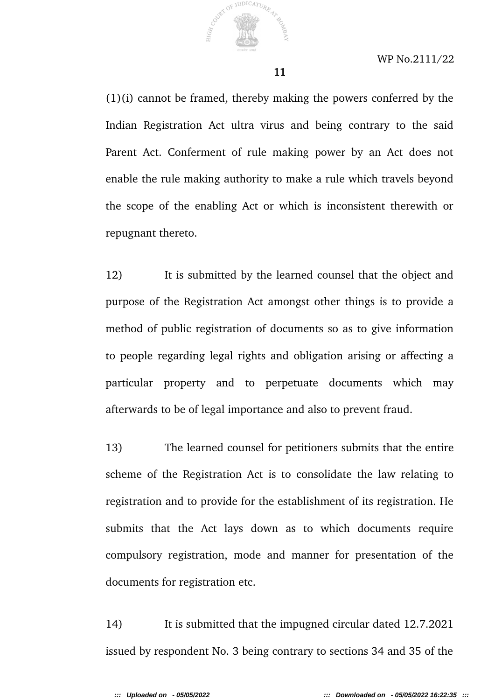

(1)(i) cannot be framed, thereby making the powers conferred by the Indian Registration Act ultra virus and being contrary to the said Parent Act. Conferment of rule making power by an Act does not enable the rule making authority to make a rule which travels beyond the scope of the enabling Act or which is inconsistent therewith or repugnant thereto.

12) It is submitted by the learned counsel that the object and purpose of the Registration Act amongst other things is to provide a method of public registration of documents so as to give information to people regarding legal rights and obligation arising or affecting a particular property and to perpetuate documents which may afterwards to be of legal importance and also to prevent fraud.

13) The learned counsel for petitioners submits that the entire scheme of the Registration Act is to consolidate the law relating to registration and to provide for the establishment of its registration. He submits that the Act lays down as to which documents require compulsory registration, mode and manner for presentation of the documents for registration etc.

14) It is submitted that the impugned circular dated 12.7.2021 issued by respondent No. 3 being contrary to sections 34 and 35 of the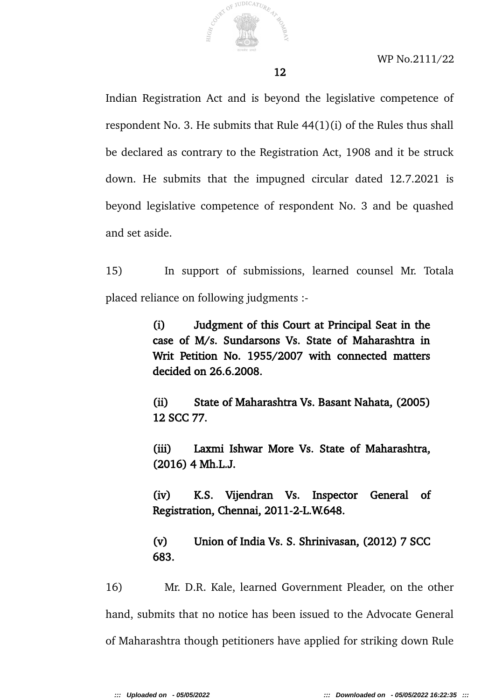

Indian Registration Act and is beyond the legislative competence of respondent No. 3. He submits that Rule 44(1)(i) of the Rules thus shall be declared as contrary to the Registration Act, 1908 and it be struck down. He submits that the impugned circular dated 12.7.2021 is beyond legislative competence of respondent No. 3 and be quashed and set aside.

15) In support of submissions, learned counsel Mr. Totala placed reliance on following judgments :-

> (i) Judgment of this Court at Principal Seat in the case of M/s. Sundarsons Vs. State of Maharashtra in Writ Petition No. 1955/2007 with connected matters decided on 26.6.2008.

> (ii) State of Maharashtra Vs. Basant Nahata, (2005) 12 SCC 77.

> (iii) Laxmi Ishwar More Vs. State of Maharashtra, (2016) 4 Mh.L.J.

> (iv) K.S. Vijendran Vs. Inspector General of Registration, Chennai, 2011-2-L.W.648.

> (v) Union of India Vs. S. Shrinivasan, (2012) 7 SCC 683.

16) Mr. D.R. Kale, learned Government Pleader, on the other hand, submits that no notice has been issued to the Advocate General of Maharashtra though petitioners have applied for striking down Rule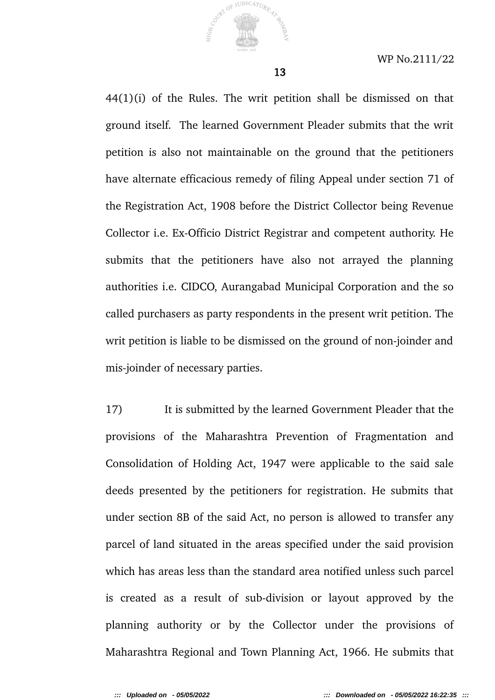

44(1)(i) of the Rules. The writ petition shall be dismissed on that ground itself. The learned Government Pleader submits that the writ petition is also not maintainable on the ground that the petitioners have alternate efficacious remedy of filing Appeal under section 71 of the Registration Act, 1908 before the District Collector being Revenue Collector i.e. Ex-Officio District Registrar and competent authority. He submits that the petitioners have also not arrayed the planning authorities i.e. CIDCO, Aurangabad Municipal Corporation and the so called purchasers as party respondents in the present writ petition. The writ petition is liable to be dismissed on the ground of non-joinder and mis-joinder of necessary parties.

17) It is submitted by the learned Government Pleader that the provisions of the Maharashtra Prevention of Fragmentation and Consolidation of Holding Act, 1947 were applicable to the said sale deeds presented by the petitioners for registration. He submits that under section 8B of the said Act, no person is allowed to transfer any parcel of land situated in the areas specified under the said provision which has areas less than the standard area notified unless such parcel is created as a result of sub-division or layout approved by the planning authority or by the Collector under the provisions of Maharashtra Regional and Town Planning Act, 1966. He submits that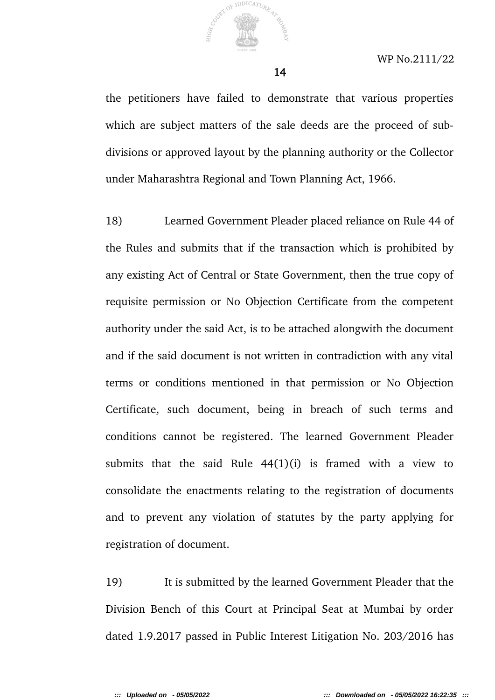

the petitioners have failed to demonstrate that various properties which are subject matters of the sale deeds are the proceed of subdivisions or approved layout by the planning authority or the Collector under Maharashtra Regional and Town Planning Act, 1966.

18) Learned Government Pleader placed reliance on Rule 44 of the Rules and submits that if the transaction which is prohibited by any existing Act of Central or State Government, then the true copy of requisite permission or No Objection Certificate from the competent authority under the said Act, is to be attached alongwith the document and if the said document is not written in contradiction with any vital terms or conditions mentioned in that permission or No Objection Certificate, such document, being in breach of such terms and conditions cannot be registered. The learned Government Pleader submits that the said Rule  $44(1)(i)$  is framed with a view to consolidate the enactments relating to the registration of documents and to prevent any violation of statutes by the party applying for registration of document.

19) It is submitted by the learned Government Pleader that the Division Bench of this Court at Principal Seat at Mumbai by order dated 1.9.2017 passed in Public Interest Litigation No. 203/2016 has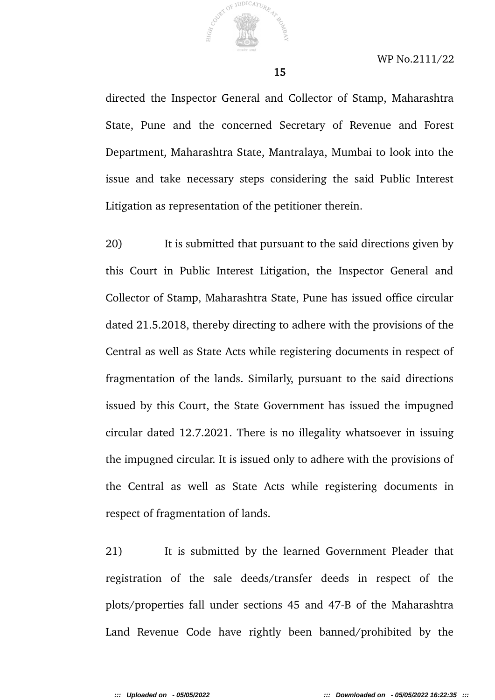

directed the Inspector General and Collector of Stamp, Maharashtra State, Pune and the concerned Secretary of Revenue and Forest Department, Maharashtra State, Mantralaya, Mumbai to look into the issue and take necessary steps considering the said Public Interest Litigation as representation of the petitioner therein.

20) It is submitted that pursuant to the said directions given by this Court in Public Interest Litigation, the Inspector General and Collector of Stamp, Maharashtra State, Pune has issued office circular dated 21.5.2018, thereby directing to adhere with the provisions of the Central as well as State Acts while registering documents in respect of fragmentation of the lands. Similarly, pursuant to the said directions issued by this Court, the State Government has issued the impugned circular dated 12.7.2021. There is no illegality whatsoever in issuing the impugned circular. It is issued only to adhere with the provisions of the Central as well as State Acts while registering documents in respect of fragmentation of lands.

21) It is submitted by the learned Government Pleader that registration of the sale deeds/transfer deeds in respect of the plots/properties fall under sections 45 and 47-B of the Maharashtra Land Revenue Code have rightly been banned/prohibited by the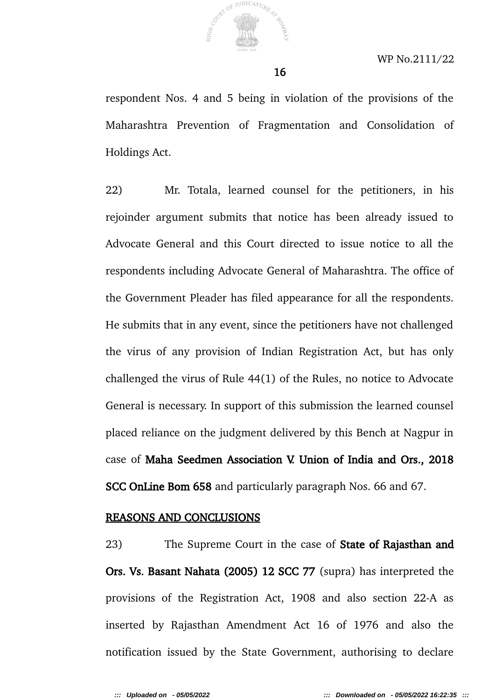

respondent Nos. 4 and 5 being in violation of the provisions of the Maharashtra Prevention of Fragmentation and Consolidation of Holdings Act.

16

22) Mr. Totala, learned counsel for the petitioners, in his rejoinder argument submits that notice has been already issued to Advocate General and this Court directed to issue notice to all the respondents including Advocate General of Maharashtra. The office of the Government Pleader has filed appearance for all the respondents. He submits that in any event, since the petitioners have not challenged the virus of any provision of Indian Registration Act, but has only challenged the virus of Rule 44(1) of the Rules, no notice to Advocate General is necessary. In support of this submission the learned counsel placed reliance on the judgment delivered by this Bench at Nagpur in case of Maha Seedmen Association V. Union of India and Ors., 2018 SCC OnLine Bom 658 and particularly paragraph Nos. 66 and 67.

#### REASONS AND CONCLUSIONS

23) The Supreme Court in the case of State of Rajasthan and Ors. Vs. Basant Nahata (2005) 12 SCC 77 (supra) has interpreted the provisions of the Registration Act, 1908 and also section 22-A as inserted by Rajasthan Amendment Act 16 of 1976 and also the notification issued by the State Government, authorising to declare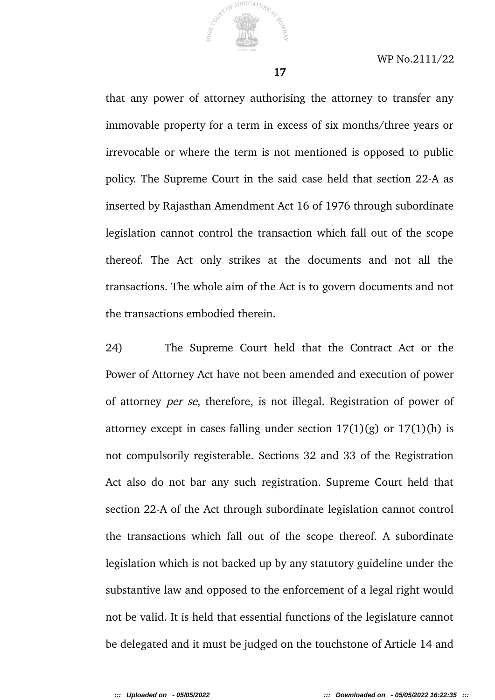

that any power of attorney authorising the attorney to transfer any immovable property for a term in excess of six months/three years or irrevocable or where the term is not mentioned is opposed to public policy. The Supreme Court in the said case held that section 22-A as inserted by Rajasthan Amendment Act 16 of 1976 through subordinate legislation cannot control the transaction which fall out of the scope thereof. The Act only strikes at the documents and not all the transactions. The whole aim of the Act is to govern documents and not the transactions embodied therein.

24) The Supreme Court held that the Contract Act or the Power of Attorney Act have not been amended and execution of power of attorney per se, therefore, is not illegal. Registration of power of attorney except in cases falling under section  $17(1)(g)$  or  $17(1)(h)$  is not compulsorily registerable. Sections 32 and 33 of the Registration Act also do not bar any such registration. Supreme Court held that section 22-A of the Act through subordinate legislation cannot control the transactions which fall out of the scope thereof. A subordinate legislation which is not backed up by any statutory guideline under the substantive law and opposed to the enforcement of a legal right would not be valid. It is held that essential functions of the legislature cannot be delegated and it must be judged on the touchstone of Article 14 and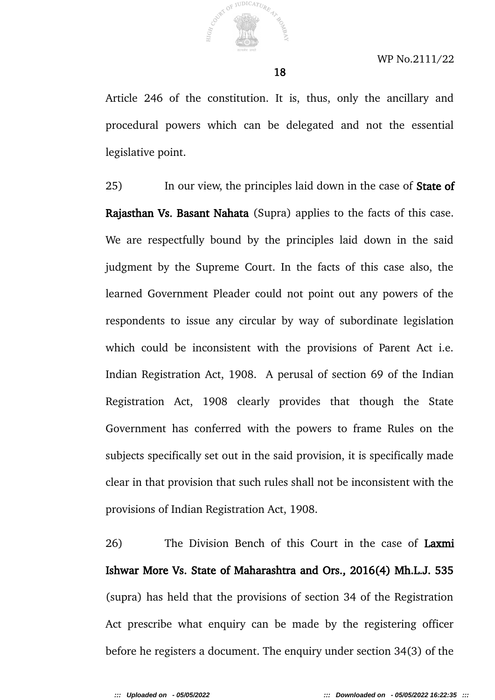

Article 246 of the constitution. It is, thus, only the ancillary and procedural powers which can be delegated and not the essential legislative point.

18

25) In our view, the principles laid down in the case of **State of** Rajasthan Vs. Basant Nahata (Supra) applies to the facts of this case. We are respectfully bound by the principles laid down in the said judgment by the Supreme Court. In the facts of this case also, the learned Government Pleader could not point out any powers of the respondents to issue any circular by way of subordinate legislation which could be inconsistent with the provisions of Parent Act i.e. Indian Registration Act, 1908. A perusal of section 69 of the Indian Registration Act, 1908 clearly provides that though the State Government has conferred with the powers to frame Rules on the subjects specifically set out in the said provision, it is specifically made clear in that provision that such rules shall not be inconsistent with the provisions of Indian Registration Act, 1908.

26) The Division Bench of this Court in the case of Laxmi Ishwar More Vs. State of Maharashtra and Ors., 2016(4) Mh.L.J. 535 (supra) has held that the provisions of section 34 of the Registration Act prescribe what enquiry can be made by the registering officer before he registers a document. The enquiry under section 34(3) of the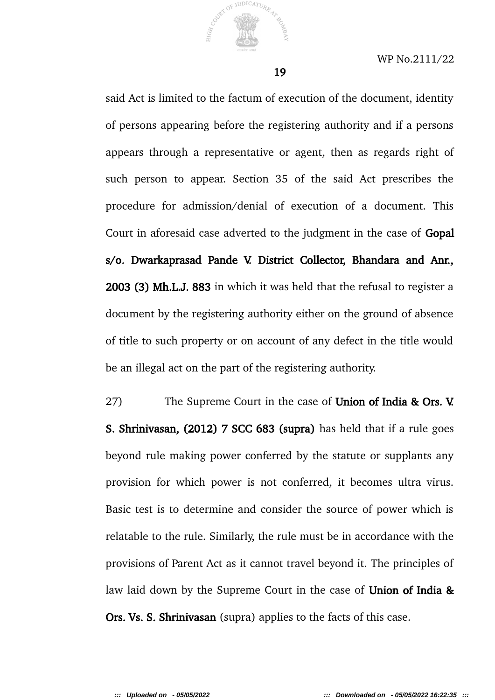

said Act is limited to the factum of execution of the document, identity of persons appearing before the registering authority and if a persons appears through a representative or agent, then as regards right of such person to appear. Section 35 of the said Act prescribes the procedure for admission/denial of execution of a document. This Court in aforesaid case adverted to the judgment in the case of Gopal s/o. Dwarkaprasad Pande V. District Collector, Bhandara and Anr., 2003 (3) Mh.L.J. 883 in which it was held that the refusal to register a document by the registering authority either on the ground of absence of title to such property or on account of any defect in the title would be an illegal act on the part of the registering authority.

27) The Supreme Court in the case of Union of India & Ors. V. S. Shrinivasan, (2012) 7 SCC 683 (supra) has held that if a rule goes beyond rule making power conferred by the statute or supplants any provision for which power is not conferred, it becomes ultra virus. Basic test is to determine and consider the source of power which is relatable to the rule. Similarly, the rule must be in accordance with the provisions of Parent Act as it cannot travel beyond it. The principles of law laid down by the Supreme Court in the case of **Union of India &** Ors. Vs. S. Shrinivasan (supra) applies to the facts of this case.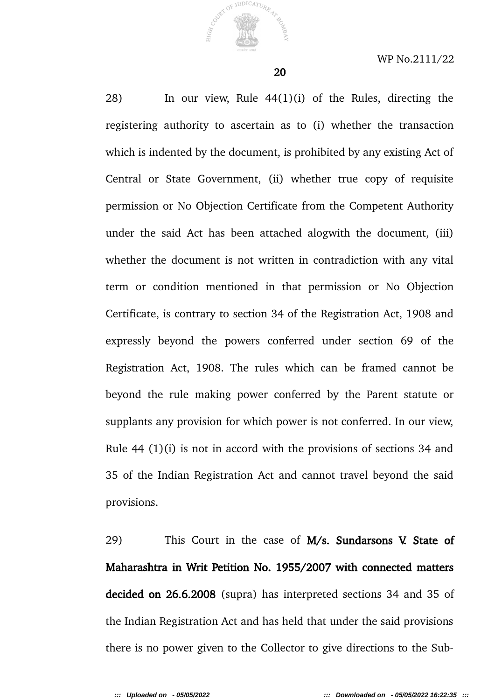

28) In our view, Rule 44(1)(i) of the Rules, directing the registering authority to ascertain as to (i) whether the transaction which is indented by the document, is prohibited by any existing Act of Central or State Government, (ii) whether true copy of requisite permission or No Objection Certificate from the Competent Authority under the said Act has been attached alogwith the document, (iii) whether the document is not written in contradiction with any vital term or condition mentioned in that permission or No Objection Certificate, is contrary to section 34 of the Registration Act, 1908 and expressly beyond the powers conferred under section 69 of the Registration Act, 1908. The rules which can be framed cannot be beyond the rule making power conferred by the Parent statute or supplants any provision for which power is not conferred. In our view, Rule 44 (1)(i) is not in accord with the provisions of sections 34 and 35 of the Indian Registration Act and cannot travel beyond the said provisions.

29) This Court in the case of M/s. Sundarsons V. State of Maharashtra in Writ Petition No. 1955/2007 with connected matters decided on 26.6.2008 (supra) has interpreted sections 34 and 35 of the Indian Registration Act and has held that under the said provisions there is no power given to the Collector to give directions to the Sub-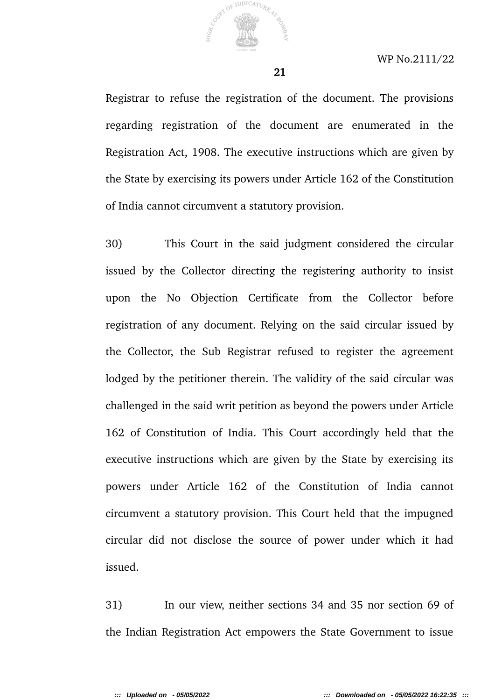

Registrar to refuse the registration of the document. The provisions regarding registration of the document are enumerated in the Registration Act, 1908. The executive instructions which are given by the State by exercising its powers under Article 162 of the Constitution of India cannot circumvent a statutory provision.

30) This Court in the said judgment considered the circular issued by the Collector directing the registering authority to insist upon the No Objection Certificate from the Collector before registration of any document. Relying on the said circular issued by the Collector, the Sub Registrar refused to register the agreement lodged by the petitioner therein. The validity of the said circular was challenged in the said writ petition as beyond the powers under Article 162 of Constitution of India. This Court accordingly held that the executive instructions which are given by the State by exercising its powers under Article 162 of the Constitution of India cannot circumvent a statutory provision. This Court held that the impugned circular did not disclose the source of power under which it had issued.

31) In our view, neither sections 34 and 35 nor section 69 of the Indian Registration Act empowers the State Government to issue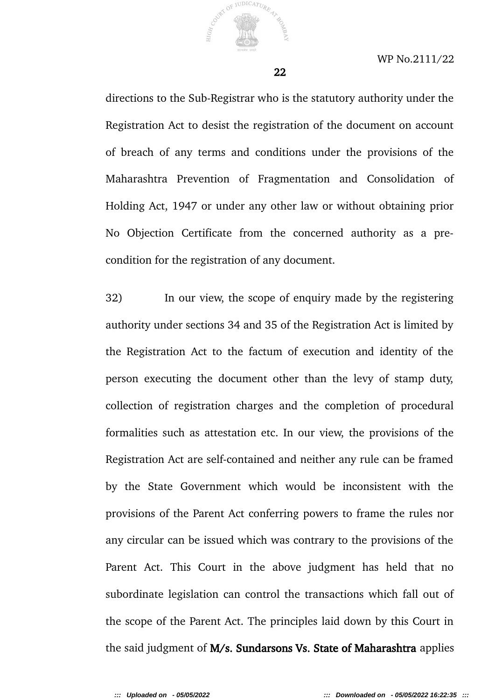

directions to the Sub-Registrar who is the statutory authority under the Registration Act to desist the registration of the document on account of breach of any terms and conditions under the provisions of the Maharashtra Prevention of Fragmentation and Consolidation of Holding Act, 1947 or under any other law or without obtaining prior No Objection Certificate from the concerned authority as a precondition for the registration of any document.

32) In our view, the scope of enquiry made by the registering authority under sections 34 and 35 of the Registration Act is limited by the Registration Act to the factum of execution and identity of the person executing the document other than the levy of stamp duty, collection of registration charges and the completion of procedural formalities such as attestation etc. In our view, the provisions of the Registration Act are self-contained and neither any rule can be framed by the State Government which would be inconsistent with the provisions of the Parent Act conferring powers to frame the rules nor any circular can be issued which was contrary to the provisions of the Parent Act. This Court in the above judgment has held that no subordinate legislation can control the transactions which fall out of the scope of the Parent Act. The principles laid down by this Court in the said judgment of M/s. Sundarsons Vs. State of Maharashtra applies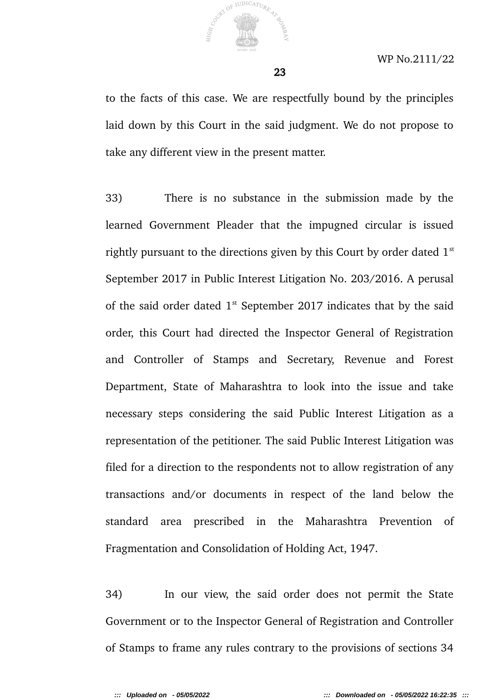

to the facts of this case. We are respectfully bound by the principles laid down by this Court in the said judgment. We do not propose to take any different view in the present matter.

33) There is no substance in the submission made by the learned Government Pleader that the impugned circular is issued rightly pursuant to the directions given by this Court by order dated  $1<sup>st</sup>$ September 2017 in Public Interest Litigation No. 203/2016. A perusal of the said order dated  $1<sup>st</sup>$  September 2017 indicates that by the said order, this Court had directed the Inspector General of Registration and Controller of Stamps and Secretary, Revenue and Forest Department, State of Maharashtra to look into the issue and take necessary steps considering the said Public Interest Litigation as a representation of the petitioner. The said Public Interest Litigation was filed for a direction to the respondents not to allow registration of any transactions and/or documents in respect of the land below the standard area prescribed in the Maharashtra Prevention of Fragmentation and Consolidation of Holding Act, 1947.

34) In our view, the said order does not permit the State Government or to the Inspector General of Registration and Controller of Stamps to frame any rules contrary to the provisions of sections 34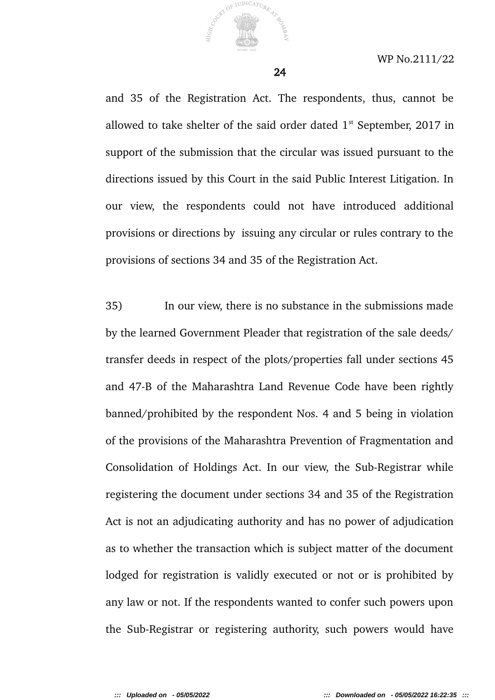

and 35 of the Registration Act. The respondents, thus, cannot be allowed to take shelter of the said order dated  $1<sup>st</sup>$  September, 2017 in support of the submission that the circular was issued pursuant to the directions issued by this Court in the said Public Interest Litigation. In our view, the respondents could not have introduced additional provisions or directions by issuing any circular or rules contrary to the provisions of sections 34 and 35 of the Registration Act.

35) In our view, there is no substance in the submissions made by the learned Government Pleader that registration of the sale deeds/ transfer deeds in respect of the plots/properties fall under sections 45 and 47-B of the Maharashtra Land Revenue Code have been rightly banned/prohibited by the respondent Nos. 4 and 5 being in violation of the provisions of the Maharashtra Prevention of Fragmentation and Consolidation of Holdings Act. In our view, the Sub-Registrar while registering the document under sections 34 and 35 of the Registration Act is not an adjudicating authority and has no power of adjudication as to whether the transaction which is subject matter of the document lodged for registration is validly executed or not or is prohibited by any law or not. If the respondents wanted to confer such powers upon the Sub-Registrar or registering authority, such powers would have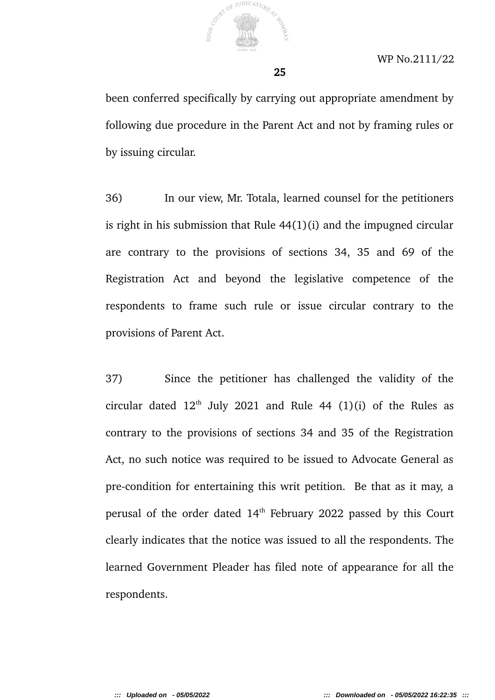

been conferred specifically by carrying out appropriate amendment by following due procedure in the Parent Act and not by framing rules or by issuing circular.

25

36) In our view, Mr. Totala, learned counsel for the petitioners is right in his submission that Rule 44(1)(i) and the impugned circular are contrary to the provisions of sections 34, 35 and 69 of the Registration Act and beyond the legislative competence of the respondents to frame such rule or issue circular contrary to the provisions of Parent Act.

37) Since the petitioner has challenged the validity of the circular dated  $12<sup>th</sup>$  July 2021 and Rule 44 (1)(i) of the Rules as contrary to the provisions of sections 34 and 35 of the Registration Act, no such notice was required to be issued to Advocate General as pre-condition for entertaining this writ petition. Be that as it may, a perusal of the order dated 14<sup>th</sup> February 2022 passed by this Court clearly indicates that the notice was issued to all the respondents. The learned Government Pleader has filed note of appearance for all the respondents.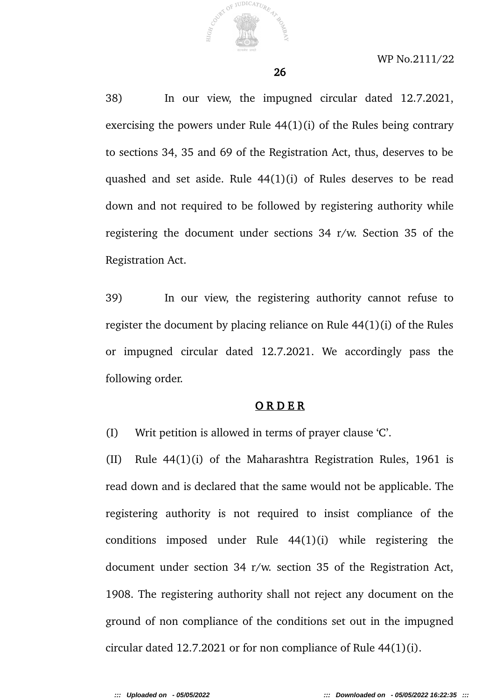

38) In our view, the impugned circular dated 12.7.2021, exercising the powers under Rule 44(1)(i) of the Rules being contrary to sections 34, 35 and 69 of the Registration Act, thus, deserves to be quashed and set aside. Rule 44(1)(i) of Rules deserves to be read down and not required to be followed by registering authority while registering the document under sections 34 r/w. Section 35 of the Registration Act.

39) In our view, the registering authority cannot refuse to register the document by placing reliance on Rule 44(1)(i) of the Rules or impugned circular dated 12.7.2021. We accordingly pass the following order.

#### O R D E R

(I) Writ petition is allowed in terms of prayer clause 'C'.

(II) Rule 44(1)(i) of the Maharashtra Registration Rules, 1961 is read down and is declared that the same would not be applicable. The registering authority is not required to insist compliance of the conditions imposed under Rule 44(1)(i) while registering the document under section 34 r/w. section 35 of the Registration Act, 1908. The registering authority shall not reject any document on the ground of non compliance of the conditions set out in the impugned circular dated 12.7.2021 or for non compliance of Rule 44(1)(i).